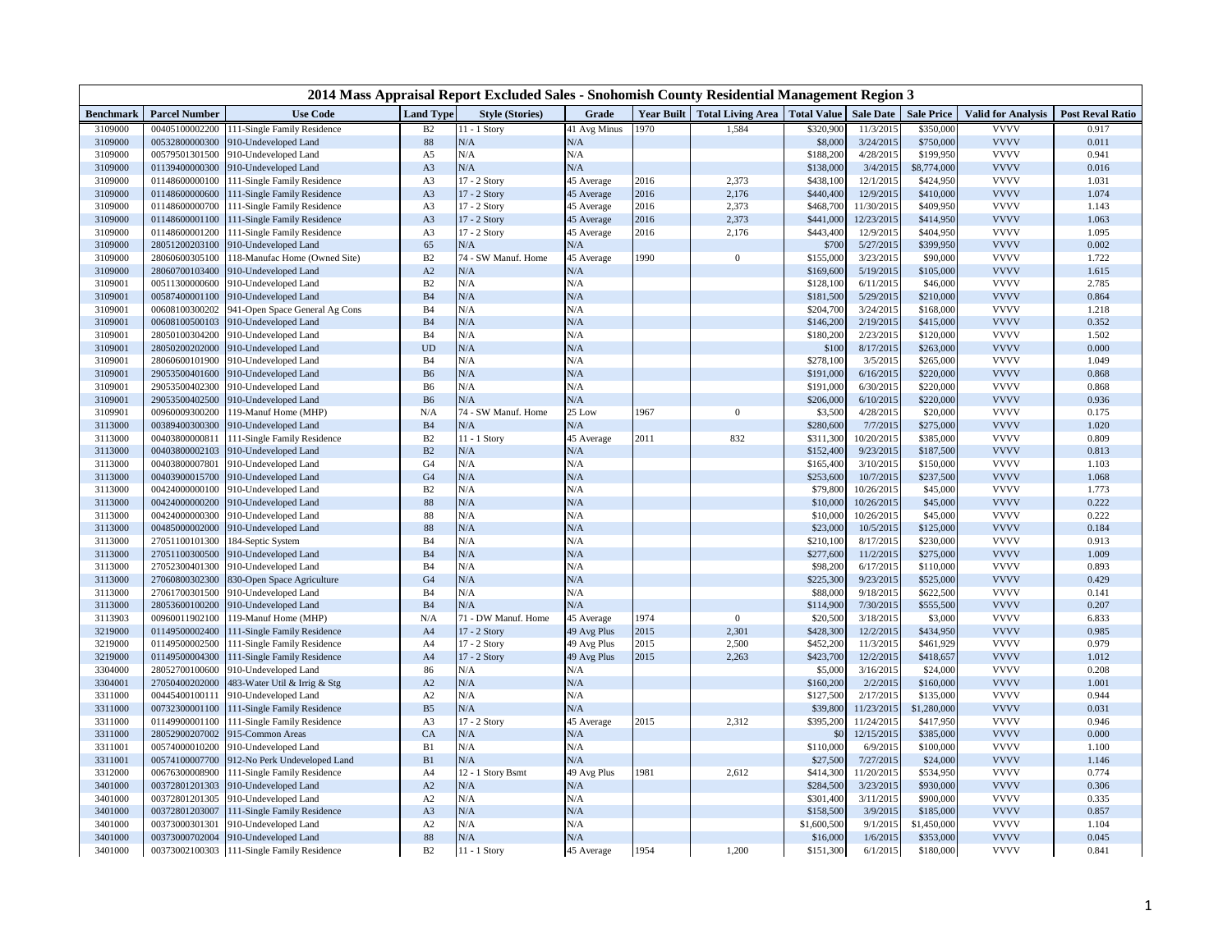| 2014 Mass Appraisal Report Excluded Sales - Snohomish County Residential Management Region 3 |                                  |                                                      |                      |                                     |                           |                   |                                        |                       |                        |                       |                            |                         |
|----------------------------------------------------------------------------------------------|----------------------------------|------------------------------------------------------|----------------------|-------------------------------------|---------------------------|-------------------|----------------------------------------|-----------------------|------------------------|-----------------------|----------------------------|-------------------------|
| <b>Benchmark</b>                                                                             | <b>Parcel Number</b>             | <b>Use Code</b>                                      | <b>Land Type</b>     | <b>Style (Stories)</b>              | Grade                     | <b>Year Built</b> | <b>Total Living Area</b>   Total Value |                       | <b>Sale Date</b>       | <b>Sale Price</b>     | <b>Valid for Analysis</b>  | <b>Post Reval Ratio</b> |
| 3109000                                                                                      | 00405100002200                   | 111-Single Family Residence                          | B2                   | 11 - 1 Story                        | 41 Avg Minus              | 1970              | 1,584                                  | \$320,900             | 11/3/2015              | \$350,000             | <b>VVVV</b>                | 0.917                   |
| 3109000                                                                                      | 00532800000300                   | 910-Undeveloped Land                                 | 88                   | N/A                                 | N/A                       |                   |                                        | \$8,000               | 3/24/2015              | \$750,000             | <b>VVVV</b>                | 0.011                   |
| 3109000                                                                                      | 00579501301500                   | 910-Undeveloped Land                                 | A5                   | N/A                                 | N/A                       |                   |                                        | \$188,200             | 4/28/2015              | \$199,950             | <b>VVVV</b>                | 0.941                   |
| 3109000                                                                                      | 01139400000300                   | 910-Undeveloped Land                                 | A <sub>3</sub>       | N/A                                 | N/A                       |                   |                                        | \$138,000             | 3/4/2015               | \$8,774,000           | <b>VVVV</b>                | 0.016                   |
| 3109000                                                                                      | 01148600000100                   | 11-Single Family Residence                           | A <sub>3</sub>       | 17 - 2 Story                        | 45 Average                | 2016              | 2,373                                  | \$438,100             | 12/1/2015              | \$424,950             | <b>VVVV</b>                | 1.031                   |
| 3109000                                                                                      | 01148600000600                   | 111-Single Family Residence                          | A3                   | 17 - 2 Story                        | 45 Average                | 2016              | 2,176                                  | \$440,400             | 12/9/2015              | \$410,000             | <b>VVVV</b>                | 1.074                   |
| 3109000                                                                                      | 01148600000700                   | 11-Single Family Residence                           | A <sub>3</sub>       | 17 - 2 Story                        | 45 Average                | 2016              | 2,373                                  | \$468,700             | 11/30/2015             | \$409,950             | <b>VVVV</b>                | 1.143                   |
| 3109000                                                                                      | 01148600001100                   | 11-Single Family Residence                           | A <sub>3</sub>       | 17 - 2 Story                        | 45 Average                | 2016              | 2,373                                  | \$441,000             | 12/23/2015             | \$414,950             | <b>VVVV</b>                | 1.063                   |
| 3109000                                                                                      | 01148600001200                   | 11-Single Family Residence                           | A <sub>3</sub><br>65 | 17 - 2 Story                        | 45 Average                | 2016              | 2,176                                  | \$443,400             | 12/9/2015              | \$404,950             | <b>VVVV</b><br><b>VVVV</b> | 1.095<br>0.002          |
| 3109000<br>3109000                                                                           | 28051200203100<br>28060600305100 | 910-Undeveloped Land<br>18-Manufac Home (Owned Site) | B <sub>2</sub>       | N/A<br>74 - SW Manuf. Home          | N/A                       | 1990              | $\mathbf{0}$                           | \$700<br>\$155,000    | 5/27/2015<br>3/23/2015 | \$399,950<br>\$90,000 | <b>VVVV</b>                | 1.722                   |
| 3109000                                                                                      | 28060700103400                   | 910-Undeveloped Land                                 | A2                   | N/A                                 | 45 Average<br>N/A         |                   |                                        | \$169,600             | 5/19/2015              | \$105,000             | <b>VVVV</b>                | 1.615                   |
| 3109001                                                                                      | 00511300000600                   | 910-Undeveloped Land                                 | B <sub>2</sub>       | N/A                                 | N/A                       |                   |                                        | \$128,100             | 6/11/2015              | \$46,000              | <b>VVVV</b>                | 2.785                   |
| 3109001                                                                                      | 00587400001100                   | 910-Undeveloped Land                                 | B <sub>4</sub>       | N/A                                 | N/A                       |                   |                                        | \$181,500             | 5/29/2015              | \$210,000             | <b>VVVV</b>                | 0.864                   |
| 3109001                                                                                      | 00608100300202                   | 941-Open Space General Ag Cons                       | <b>B</b> 4           | N/A                                 | N/A                       |                   |                                        | \$204,700             | 3/24/2015              | \$168,000             | <b>VVVV</b>                | 1.218                   |
| 3109001                                                                                      | 00608100500103                   | 910-Undeveloped Land                                 | <b>B4</b>            | N/A                                 | N/A                       |                   |                                        | \$146,200             | 2/19/2015              | \$415,000             | <b>VVVV</b>                | 0.352                   |
| 3109001                                                                                      | 28050100304200                   | 010-Undeveloped Land                                 | B <sub>4</sub>       | N/A                                 | N/A                       |                   |                                        | \$180,200             | 2/23/2015              | \$120,000             | <b>VVVV</b>                | 1.502                   |
| 3109001                                                                                      | 28050200202000                   | 910-Undeveloped Land                                 | <b>UD</b>            | N/A                                 | N/A                       |                   |                                        | \$100                 | 8/17/2015              | \$263,000             | <b>VVVV</b>                | 0.000                   |
| 3109001                                                                                      | 28060600101900                   | 910-Undeveloped Land                                 | <b>B4</b>            | N/A                                 | N/A                       |                   |                                        | \$278,100             | 3/5/201                | \$265,000             | <b>VVVV</b>                | 1.049                   |
| 3109001                                                                                      | 29053500401600                   | 910-Undeveloped Land                                 | <b>B6</b>            | N/A                                 | N/A                       |                   |                                        | \$191,000             | 6/16/2015              | \$220,000             | <b>VVVV</b>                | 0.868                   |
| 3109001                                                                                      | 29053500402300                   | 910-Undeveloped Land                                 | B <sub>6</sub>       | N/A                                 | N/A                       |                   |                                        | \$191,000             | 6/30/2015              | \$220,000             | <b>VVVV</b>                | 0.868                   |
| 3109001                                                                                      | 29053500402500                   | 910-Undeveloped Land                                 | B <sub>6</sub>       | N/A                                 | N/A                       |                   |                                        | \$206,000             | 6/10/2015              | \$220,000             | <b>VVVV</b>                | 0.936                   |
| 3109901                                                                                      | 00960009300200                   | 119-Manuf Home (MHP)                                 | N/A                  | 74 - SW Manuf. Home                 | 25 Low                    | 1967              | $\mathbf{0}$                           | \$3,500               | 4/28/2015              | \$20,000              | <b>VVVV</b>                | 0.175                   |
| 3113000                                                                                      | 00389400300300                   | 910-Undeveloped Land                                 | B <sub>4</sub>       | N/A                                 | N/A                       |                   |                                        | \$280,600             | 7/7/2015               | \$275,000             | <b>VVVV</b>                | 1.020                   |
| 3113000                                                                                      | 00403800000811                   | 11-Single Family Residence                           | B2                   | 11 - 1 Story                        | 45 Average                | 2011              | 832                                    | \$311,300             | 10/20/2015             | \$385,000             | <b>VVVV</b>                | 0.809                   |
| 3113000                                                                                      | 00403800002103                   | 910-Undeveloped Land                                 | B <sub>2</sub>       | N/A                                 | N/A                       |                   |                                        | \$152,400             | 9/23/2015              | \$187,500             | <b>VVVV</b>                | 0.813                   |
| 3113000                                                                                      | 00403800007801                   | 910-Undeveloped Land                                 | G <sub>4</sub>       | N/A                                 | N/A                       |                   |                                        | \$165,400             | 3/10/201               | \$150,000             | <b>VVVV</b>                | 1.103                   |
| 3113000                                                                                      | 00403900015700                   | 910-Undeveloped Land                                 | G <sub>4</sub>       | N/A                                 | N/A                       |                   |                                        | \$253,600             | 10/7/2015              | \$237,500             | <b>VVVV</b>                | 1.068                   |
| 3113000                                                                                      | 00424000000100                   | 010-Undeveloped Land                                 | B2                   | N/A                                 | N/A                       |                   |                                        | \$79,800              | 10/26/2015             | \$45,000              | <b>VVVV</b>                | 1.773                   |
| 3113000                                                                                      | 00424000000200                   | 910-Undeveloped Land                                 | $88\,$               | N/A                                 | N/A                       |                   |                                        | \$10,000              | 10/26/2015             | \$45,000              | <b>VVVV</b>                | 0.222                   |
| 3113000                                                                                      | 00424000000300                   | 910-Undeveloped Land                                 | $88\,$               | N/A                                 | N/A                       |                   |                                        | \$10,000              | 10/26/2015             | \$45,000              | <b>VVVV</b>                | 0.222                   |
| 3113000                                                                                      | 00485000002000                   | 910-Undeveloped Land                                 | 88                   | N/A                                 | N/A                       |                   |                                        | \$23,000              | 10/5/2015              | \$125,000             | <b>VVVV</b>                | 0.184                   |
| 3113000                                                                                      | 27051100101300                   | 84-Septic System                                     | <b>B</b> 4           | N/A                                 | N/A                       |                   |                                        | \$210,100             | 8/17/2015              | \$230,000             | <b>VVVV</b>                | 0.913                   |
| 3113000                                                                                      | 27051100300500                   | 910-Undeveloped Land                                 | <b>B4</b>            | N/A                                 | N/A                       |                   |                                        | \$277,600             | 11/2/2015              | \$275,000             | <b>VVVV</b>                | 1.009                   |
| 3113000                                                                                      | 27052300401300                   | 910-Undeveloped Land                                 | <b>B4</b>            | N/A                                 | N/A                       |                   |                                        | \$98,200              | 6/17/2015              | \$110,000             | <b>VVVV</b>                | 0.893                   |
| 3113000                                                                                      | 27060800302300                   | 830-Open Space Agriculture                           | G <sub>4</sub>       | N/A                                 | N/A                       |                   |                                        | \$225,300             | 9/23/2015              | \$525,000             | <b>VVVV</b>                | 0.429                   |
| 3113000                                                                                      | 27061700301500                   | 010-Undeveloped Land                                 | B <sub>4</sub>       | N/A                                 | N/A                       |                   |                                        | \$88,000              | 9/18/2015              | \$622,500             | <b>VVVV</b>                | 0.141                   |
| 3113000                                                                                      | 28053600100200                   | 910-Undeveloped Land                                 | B <sub>4</sub>       | N/A                                 | N/A                       | 1974              |                                        | \$114,900             | 7/30/2015              | \$555,500             | <b>VVVV</b><br><b>VVVV</b> | 0.207                   |
| 3113903<br>3219000                                                                           | 00960011902100<br>01149500002400 | 119-Manuf Home (MHP)<br>11-Single Family Residence   | N/A<br>A4            | 71 - DW Manuf. Home<br>17 - 2 Story | 45 Average<br>49 Avg Plus | 2015              | $\overline{0}$<br>2,301                | \$20,500<br>\$428,300 | 3/18/2015<br>12/2/2015 | \$3,000<br>\$434,950  | <b>VVVV</b>                | 6.833<br>0.985          |
| 3219000                                                                                      | 01149500002500                   | 111-Single Family Residence                          | A4                   | 17 - 2 Story                        | 49 Avg Plus               | 2015              | 2,500                                  | \$452,200             | 11/3/2015              | \$461,929             | <b>VVVV</b>                | 0.979                   |
| 3219000                                                                                      | 01149500004300                   | 11-Single Family Residence                           | A4                   | 17 - 2 Story                        | 49 Avg Plus               | 2015              | 2,263                                  | \$423,700             | 12/2/2015              | \$418,657             | <b>VVVV</b>                | 1.012                   |
| 3304000                                                                                      | 28052700100600                   | 910-Undeveloped Land                                 | 86                   | N/A                                 | N/A                       |                   |                                        | \$5,000               | 3/16/2015              | \$24,000              | <b>VVVV</b>                | 0.208                   |
| 3304001                                                                                      | 27050400202000                   | 483-Water Util & Irrig & Stg                         | A2                   | N/A                                 | N/A                       |                   |                                        | \$160,200             | 2/2/2015               | \$160,000             | <b>VVVV</b>                | 1.001                   |
| 3311000                                                                                      | 00445400100111                   | 010-Undeveloped Land                                 | A2                   | N/A                                 | N/A                       |                   |                                        | \$127,500             | 2/17/2015              | \$135,000             | <b>VVVV</b>                | 0.944                   |
| 3311000                                                                                      | 00732300001100                   | 11-Single Family Residence                           | B <sub>5</sub>       | N/A                                 | N/A                       |                   |                                        | \$39,800              | 11/23/2015             | \$1,280,000           | <b>VVVV</b>                | 0.031                   |
| 3311000                                                                                      | 01149900001100                   | 11-Single Family Residence                           | A <sub>3</sub>       | 17 - 2 Story                        | 45 Average                | 2015              | 2,312                                  | \$395,200             | 11/24/2015             | \$417,950             | <b>VVVV</b>                | 0.946                   |
| 3311000                                                                                      | 28052900207002                   | 915-Common Areas                                     | CA                   | N/A                                 | N/A                       |                   |                                        | \$0                   | 12/15/2015             | \$385,000             | <b>VVVV</b>                | 0.000                   |
| 3311001                                                                                      | 00574000010200                   | 910-Undeveloped Land                                 | B1                   | N/A                                 | N/A                       |                   |                                        | \$110,000             | 6/9/201                | \$100,000             | <b>VVVV</b>                | 1.100                   |
| 3311001                                                                                      | 00574100007700                   | 912-No Perk Undeveloped Land                         | B1                   | N/A                                 | N/A                       |                   |                                        | \$27,500              | 7/27/2015              | \$24,000              | <b>VVVV</b>                | 1.146                   |
| 3312000                                                                                      | 00676300008900                   | 111-Single Family Residence                          | A4                   | 12 - 1 Story Bsmt                   | 49 Avg Plus               | 1981              | 2,612                                  | \$414,300             | 11/20/2015             | \$534,950             | <b>VVVV</b>                | 0.774                   |
| 3401000                                                                                      | 00372801201303                   | 910-Undeveloped Land                                 | A2                   | N/A                                 | N/A                       |                   |                                        | \$284,500             | 3/23/2015              | \$930,000             | <b>VVVV</b>                | 0.306                   |
| 3401000                                                                                      | 00372801201305                   | 010-Undeveloped Land                                 | A2                   | N/A                                 | N/A                       |                   |                                        | \$301,400             | 3/11/2015              | \$900,000             | <b>VVVV</b>                | 0.335                   |
| 3401000                                                                                      | 00372801203007                   | 11-Single Family Residence                           | A <sub>3</sub>       | N/A                                 | N/A                       |                   |                                        | \$158,500             | 3/9/2015               | \$185,000             | <b>VVVV</b>                | 0.857                   |
| 3401000                                                                                      | 00373000301301                   | 010-Undeveloped Land                                 | A2                   | N/A                                 | N/A                       |                   |                                        | \$1,600,500           | 9/1/2015               | \$1,450,000           | <b>VVVV</b>                | 1.104                   |
| 3401000                                                                                      | 00373000702004                   | 910-Undeveloped Land                                 | $88\,$               | N/A                                 | N/A                       |                   |                                        | \$16,000              | 1/6/2015               | \$353,000             | <b>VVVV</b>                | 0.045                   |
| 3401000                                                                                      | 00373002100303                   | 111-Single Family Residence                          | B2                   | 11 - 1 Story                        | 45 Average                | 1954              | 1,200                                  | \$151,300             | 6/1/2015               | \$180,000             | <b>VVVV</b>                | 0.841                   |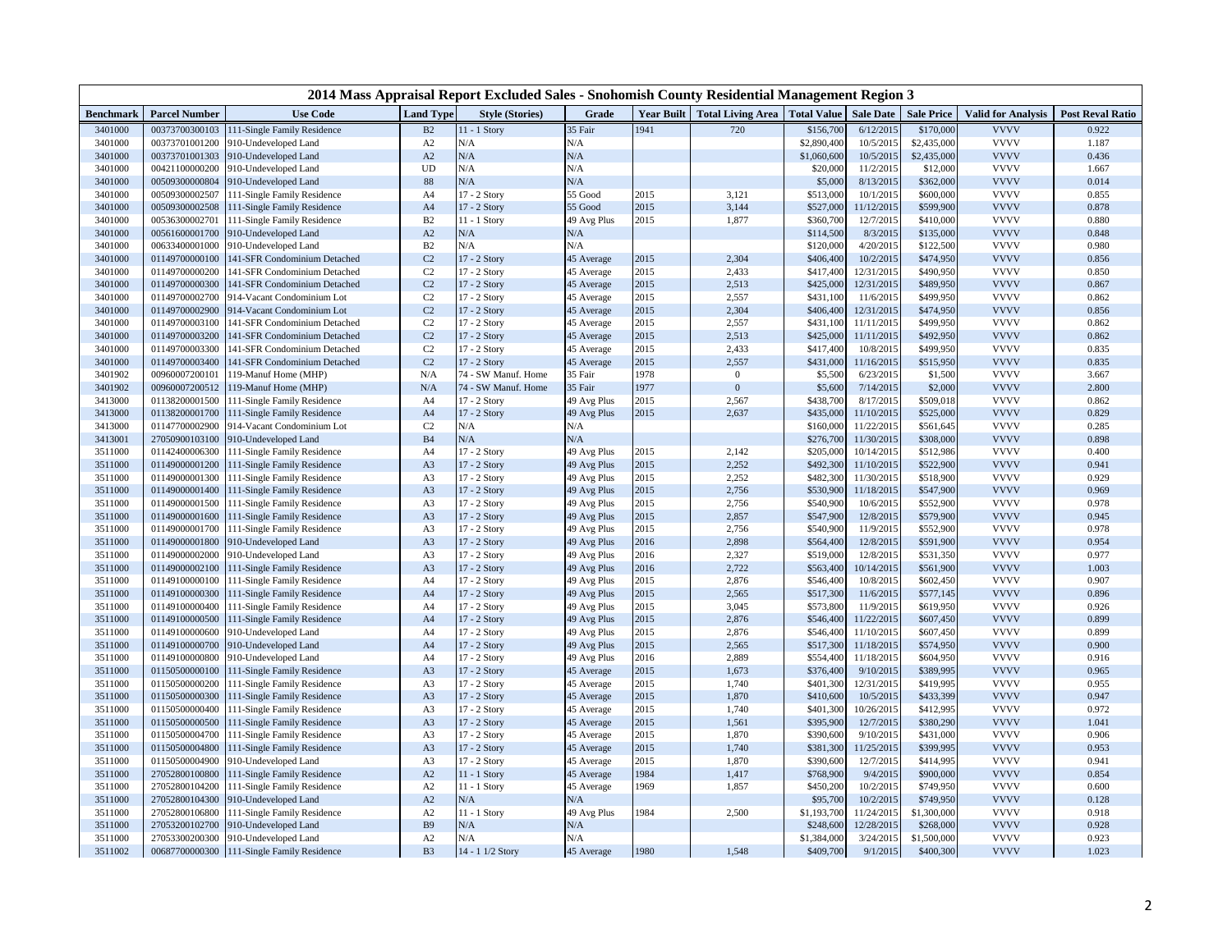| 2014 Mass Appraisal Report Excluded Sales - Snohomish County Residential Management Region 3 |                                  |                                                           |                  |                        |                    |              |                                                     |                        |                          |                        |                            |                         |
|----------------------------------------------------------------------------------------------|----------------------------------|-----------------------------------------------------------|------------------|------------------------|--------------------|--------------|-----------------------------------------------------|------------------------|--------------------------|------------------------|----------------------------|-------------------------|
| <b>Benchmark</b>                                                                             | <b>Parcel Number</b>             | <b>Use Code</b>                                           | <b>Land Type</b> | <b>Style (Stories)</b> | Grade              |              | <b>Year Built   Total Living Area   Total Value</b> |                        | <b>Sale Date</b>         | <b>Sale Price</b>      | <b>Valid for Analysis</b>  | <b>Post Reval Ratio</b> |
| 3401000                                                                                      | 00373700300103                   | 111-Single Family Residence                               | B2               | 11 - 1 Story           | 35 Fair            | 1941         | 720                                                 | \$156,700              | 6/12/2015                | \$170,000              | <b>VVVV</b>                | 0.922                   |
| 3401000                                                                                      | 00373701001200                   | 910-Undeveloped Land                                      | A2               | N/A                    | N/A                |              |                                                     | \$2,890,400            | 10/5/2015                | \$2,435,000            | <b>VVVV</b>                | 1.187                   |
| 3401000                                                                                      | 00373701001303                   | 910-Undeveloped Land                                      | A2               | N/A                    | N/A                |              |                                                     | \$1,060,600            | 10/5/2015                | \$2,435,000            | <b>VVVV</b>                | 0.436                   |
| 3401000                                                                                      | 00421100000200                   | 10-Undeveloped Land                                       | <b>UD</b>        | N/A                    | N/A                |              |                                                     | \$20,000               | 11/2/2015                | \$12,000               | <b>VVVV</b>                | 1.667                   |
| 3401000                                                                                      | 00509300000804                   | 910-Undeveloped Land                                      | 88               | N/A                    | N/A                |              |                                                     | \$5,000                | 8/13/2015                | \$362,000              | <b>VVVV</b>                | 0.014                   |
| 3401000                                                                                      | 00509300002507                   | 111-Single Family Residence                               | A4               | 17 - 2 Story           | 55 Good            | 2015         | 3,121                                               | \$513,000              | 10/1/2015                | \$600,000              | <b>VVVV</b>                | 0.855                   |
| 3401000                                                                                      | 00509300002508                   | 111-Single Family Residence                               | A4               | 17 - 2 Story           | 55 Good            | 2015         | 3,144                                               | \$527,000              | 11/12/2015               | \$599,900              | <b>VVVV</b>                | 0.878                   |
| 3401000                                                                                      | 00536300002701                   | 111-Single Family Residence                               | B <sub>2</sub>   | 11 - 1 Story           | 49 Avg Plus        | 2015         | 1,877                                               | \$360,700              | 12/7/2015                | \$410,000              | <b>VVVV</b>                | 0.880                   |
| 3401000                                                                                      | 00561600001700                   | 910-Undeveloped Land                                      | A2               | N/A                    | N/A                |              |                                                     | \$114,500              | 8/3/2015                 | \$135,000              | <b>VVVV</b>                | 0.848                   |
| 3401000                                                                                      | 00633400001000                   | 910-Undeveloped Land                                      | B2               | N/A                    | N/A                |              |                                                     | \$120,000              | 4/20/2015                | \$122,500              | <b>VVVV</b>                | 0.980                   |
| 3401000                                                                                      | 01149700000100                   | 141-SFR Condominium Detached                              | $\rm C2$         | 17 - 2 Story           | 45 Average         | 2015         | 2,304                                               | \$406,400              | 10/2/2015                | \$474,950              | <b>VVVV</b>                | 0.856                   |
| 3401000                                                                                      | 01149700000200                   | 141-SFR Condominium Detached                              | C <sub>2</sub>   | 17 - 2 Story           | 45 Average         | 2015         | 2,433                                               | \$417,400              | 12/31/2015               | \$490,950              | <b>VVVV</b>                | 0.850                   |
| 3401000                                                                                      | 01149700000300                   | 141-SFR Condominium Detached                              | $\rm C2$         | 17 - 2 Story           | 45 Average         | 2015         | 2,513                                               | \$425,000              | 12/31/2015               | \$489,950              | <b>VVVV</b>                | 0.867                   |
| 3401000                                                                                      | 01149700002700                   | 914-Vacant Condominium Lot                                | C <sub>2</sub>   | 17 - 2 Story           | 45 Average         | 2015         | 2,557                                               | \$431,100              | 11/6/2015                | \$499,950              | <b>VVVV</b>                | 0.862                   |
| 3401000                                                                                      | 01149700002900                   | 914-Vacant Condominium Lot                                | C <sub>2</sub>   | 17 - 2 Story           | 45 Average         | 2015         | 2,304                                               | \$406,400              | 12/31/2015               | \$474,950              | <b>VVVV</b>                | 0.856                   |
| 3401000                                                                                      | 01149700003100                   | 141-SFR Condominium Detached                              | C <sub>2</sub>   | 17 - 2 Story           | 45 Average         | 2015         | 2,557                                               | \$431,100              | 11/11/2015               | \$499,950              | <b>VVVV</b>                | 0.862                   |
| 3401000                                                                                      | 01149700003200                   | 141-SFR Condominium Detached                              | $\rm C2$         | 17 - 2 Story           | 45 Average         | 2015         | 2,513                                               | \$425,000              | 11/11/2015               | \$492,950              | <b>VVVV</b>                | 0.862                   |
| 3401000                                                                                      | 01149700003300                   | 141-SFR Condominium Detached                              | C2               | 17 - 2 Story           | 45 Average         | 2015         | 2,433                                               | \$417,400              | 10/8/2015                | \$499,950              | <b>VVVV</b>                | 0.835                   |
| 3401000                                                                                      | 01149700003400                   | 141-SFR Condominium Detached                              | $\rm C2$         | 17 - 2 Story           | 15 Average         | 2015         | 2,557                                               | \$431,000              | 11/16/2015               | \$515,950              | <b>VVVV</b>                | 0.835                   |
| 3401902                                                                                      | 00960007200101                   | 119-Manuf Home (MHP)                                      | N/A              | 74 - SW Manuf. Home    | 35 Fair            | 1978<br>1977 | $\overline{0}$<br>$\mathbf{0}$                      | \$5,500                | 6/23/2015                | \$1,500                | <b>VVVV</b><br><b>VVVV</b> | 3.667                   |
| 3401902                                                                                      | 00960007200512                   | 119-Manuf Home (MHP)                                      | N/A              | 74 - SW Manuf. Home    | 35 Fair            | 2015         |                                                     | \$5,600<br>\$438,700   | 7/14/2015                | \$2,000                | <b>VVVV</b>                | 2.800                   |
| 3413000                                                                                      | 01138200001500                   | 111-Single Family Residence                               | A4               | 17 - 2 Story           | 49 Avg Plus        |              | 2,567                                               |                        | 8/17/2015                | \$509,018              | <b>VVVV</b>                | 0.862                   |
| 3413000<br>3413000                                                                           | 01138200001700<br>01147700002900 | 111-Single Family Residence<br>914-Vacant Condominium Lot | A4<br>C2         | 17 - 2 Story<br>N/A    | 49 Avg Plus<br>N/A | 2015         | 2,637                                               | \$435,000<br>\$160,000 | 11/10/2015<br>11/22/2015 | \$525,000<br>\$561,645 | <b>VVVV</b>                | 0.829<br>0.285          |
| 3413001                                                                                      | 27050900103100                   | 910-Undeveloped Land                                      | B4               | N/A                    | N/A                |              |                                                     | \$276,700              | 11/30/2015               | \$308,000              | <b>VVVV</b>                | 0.898                   |
| 3511000                                                                                      | 01142400006300                   | 111-Single Family Residence                               | A4               | 17 - 2 Story           | 49 Avg Plus        | 2015         | 2,142                                               | \$205,000              | 10/14/2015               | \$512,986              | <b>VVVV</b>                | 0.400                   |
| 3511000                                                                                      | 01149000001200                   | 111-Single Family Residence                               | A <sub>3</sub>   | 17 - 2 Story           | 49 Avg Plus        | 2015         | 2,252                                               | \$492,300              | 11/10/2015               | \$522,900              | <b>VVVV</b>                | 0.941                   |
| 3511000                                                                                      | 01149000001300                   | 111-Single Family Residence                               | A3               | 17 - 2 Story           | 49 Avg Plus        | 2015         | 2,252                                               | \$482,300              | 11/30/2015               | \$518,900              | <b>VVVV</b>                | 0.929                   |
| 3511000                                                                                      | 01149000001400                   | 111-Single Family Residence                               | A3               | 17 - 2 Story           | 49 Avg Plus        | 2015         | 2,756                                               | \$530,900              | 11/18/2015               | \$547,900              | <b>VVVV</b>                | 0.969                   |
| 3511000                                                                                      | 01149000001500                   | 111-Single Family Residence                               | A3               | 17 - 2 Story           | 49 Avg Plus        | 2015         | 2,756                                               | \$540,900              | 10/6/2015                | \$552,900              | <b>VVVV</b>                | 0.978                   |
| 3511000                                                                                      | 01149000001600                   | 111-Single Family Residence                               | A3               | 17 - 2 Story           | 49 Avg Plus        | 2015         | 2,857                                               | \$547,900              | 12/8/2015                | \$579,900              | <b>VVVV</b>                | 0.945                   |
| 3511000                                                                                      | 01149000001700                   | 111-Single Family Residence                               | A3               | 17 - 2 Story           | 49 Avg Plus        | 2015         | 2,756                                               | \$540,900              | 11/9/2015                | \$552,900              | <b>VVVV</b>                | 0.978                   |
| 3511000                                                                                      | 01149000001800                   | 910-Undeveloped Land                                      | A <sub>3</sub>   | 17 - 2 Story           | 49 Avg Plus        | 2016         | 2,898                                               | \$564,400              | 12/8/2015                | \$591,900              | <b>VVVV</b>                | 0.954                   |
| 3511000                                                                                      | 01149000002000                   | 910-Undeveloped Land                                      | A3               | 17 - 2 Story           | 49 Avg Plus        | 2016         | 2,327                                               | \$519,000              | 12/8/2015                | \$531,350              | <b>VVVV</b>                | 0.977                   |
| 3511000                                                                                      | 01149000002100                   | 111-Single Family Residence                               | A3               | 17 - 2 Story           | 49 Avg Plus        | 2016         | 2,722                                               | \$563,400              | 10/14/2015               | \$561,900              | <b>VVVV</b>                | 1.003                   |
| 3511000                                                                                      | 01149100000100                   | 111-Single Family Residence                               | A4               | 17 - 2 Story           | 49 Avg Plus        | 2015         | 2,876                                               | \$546,400              | 10/8/2015                | \$602,450              | <b>VVVV</b>                | 0.907                   |
| 3511000                                                                                      | 01149100000300                   | 111-Single Family Residence                               | A4               | 17 - 2 Story           | 49 Avg Plus        | 2015         | 2,565                                               | \$517,300              | 11/6/2015                | \$577,145              | <b>VVVV</b>                | 0.896                   |
| 3511000                                                                                      | 01149100000400                   | 111-Single Family Residence                               | A4               | 17 - 2 Story           | 49 Avg Plus        | 2015         | 3,045                                               | \$573,800              | 11/9/2015                | \$619,950              | <b>VVVV</b>                | 0.926                   |
| 3511000                                                                                      | 01149100000500                   | 111-Single Family Residence                               | A4               | 17 - 2 Story           | 49 Avg Plus        | 2015         | 2,876                                               | \$546,400              | 11/22/2015               | \$607,450              | <b>VVVV</b>                | 0.899                   |
| 3511000                                                                                      | 01149100000600                   | 910-Undeveloped Land                                      | A4               | 17 - 2 Story           | 49 Avg Plus        | 2015         | 2,876                                               | \$546,400              | 11/10/2015               | \$607,450              | <b>VVVV</b>                | 0.899                   |
| 3511000                                                                                      | 01149100000700                   | 910-Undeveloped Land                                      | A4               | 17 - 2 Story           | 49 Avg Plus        | 2015         | 2,565                                               | \$517,300              | 11/18/2015               | \$574,950              | <b>VVVV</b>                | 0.900                   |
| 3511000                                                                                      | 01149100000800                   | 910-Undeveloped Land                                      | A4               | 17 - 2 Story           | 49 Avg Plus        | 2016         | 2,889                                               | \$554,400              | 11/18/2015               | \$604,950              | <b>VVVV</b>                | 0.916                   |
| 3511000                                                                                      | 01150500000100                   | 111-Single Family Residence                               | A3               | 17 - 2 Story           | 45 Average         | 2015         | 1,673                                               | \$376,400              | 9/10/2015                | \$389,995              | <b>VVVV</b>                | 0.965                   |
| 3511000                                                                                      | 01150500000200                   | 111-Single Family Residence                               | A3               | 17 - 2 Story           | 45 Average         | 2015         | 1,740                                               | \$401,300              | 12/31/2015               | \$419,995              | <b>VVVV</b>                | 0.955                   |
| 3511000                                                                                      | 01150500000300                   | 111-Single Family Residence                               | A <sub>3</sub>   | 17 - 2 Story           | 45 Average         | 2015         | 1,870                                               | \$410,600              | 10/5/2015                | \$433,399              | <b>VVVV</b>                | 0.947                   |
| 3511000                                                                                      | 01150500000400                   | 111-Single Family Residence                               | A3               | 17 - 2 Story           | 45 Average         | 2015         | 1,740                                               | \$401,300              | 10/26/2015               | \$412,995              | <b>VVVV</b>                | 0.972                   |
| 3511000                                                                                      | 01150500000500                   | 111-Single Family Residence                               | A3               | 17 - 2 Story           | 45 Average         | 2015         | 1,561                                               | \$395,900              | 12/7/2015                | \$380,290              | <b>VVVV</b>                | 1.041                   |
| 3511000                                                                                      | 01150500004700                   | 111-Single Family Residence                               | A3               | 17 - 2 Story           | 45 Average         | 2015         | 1,870                                               | \$390,600              | 9/10/2015                | \$431,000              | <b>VVVV</b>                | 0.906                   |
| 3511000                                                                                      | 01150500004800                   | 111-Single Family Residence                               | A <sub>3</sub>   | 17 - 2 Story           | 45 Average         | 2015         | 1,740                                               | \$381,300              | 11/25/2015               | \$399,995              | <b>VVVV</b>                | 0.953                   |
| 3511000                                                                                      | 01150500004900                   | 910-Undeveloped Land                                      | A3               | 17 - 2 Story           | 45 Average         | 2015         | 1,870                                               | \$390,600              | 12/7/2015                | \$414,995              | <b>VVVV</b>                | 0.941                   |
| 3511000                                                                                      | 27052800100800                   | 111-Single Family Residence                               | A2               | 11 - 1 Story           | 45 Average         | 1984         | 1,417                                               | \$768,900              | 9/4/2015                 | \$900,000              | <b>VVVV</b>                | 0.854                   |
| 3511000                                                                                      | 27052800104200                   | 111-Single Family Residence                               | A2               | 11 - 1 Story           | 45 Average         | 1969         | 1,857                                               | \$450,200              | 10/2/2015                | \$749,950              | <b>VVVV</b>                | 0.600                   |
| 3511000                                                                                      | 27052800104300                   | 910-Undeveloped Land                                      | $\rm A2$         | $\rm N/A$              | N/A                |              |                                                     | \$95,700               | 10/2/2015                | \$749,950              | <b>VVVV</b>                | 0.128                   |
| 3511000                                                                                      | 27052800106800                   | 111-Single Family Residence                               | A2               | 11 - 1 Story           | 49 Avg Plus        | 1984         | 2,500                                               | \$1,193,700            | 11/24/2015               | \$1,300,000            | <b>VVVV</b>                | 0.918                   |
| 3511000                                                                                      | 27053200102700                   | 910-Undeveloped Land                                      | B9               | N/A                    | N/A                |              |                                                     | \$248,600              | 12/28/2015               | \$268,000              | <b>VVVV</b>                | 0.928                   |
| 3511000                                                                                      | 27053300200300                   | 910-Undeveloped Land                                      | A2               | N/A                    | N/A                |              |                                                     | \$1,384,000            | 3/24/2015                | \$1,500,000            | <b>VVVV</b>                | 0.923                   |
| 3511002                                                                                      | 00687700000300                   | 111-Single Family Residence                               | <b>B3</b>        | 14 - 1 1/2 Story       | 45 Average         | 1980         | 1,548                                               | \$409,700              | 9/1/2015                 | \$400,300              | <b>VVVV</b>                | 1.023                   |